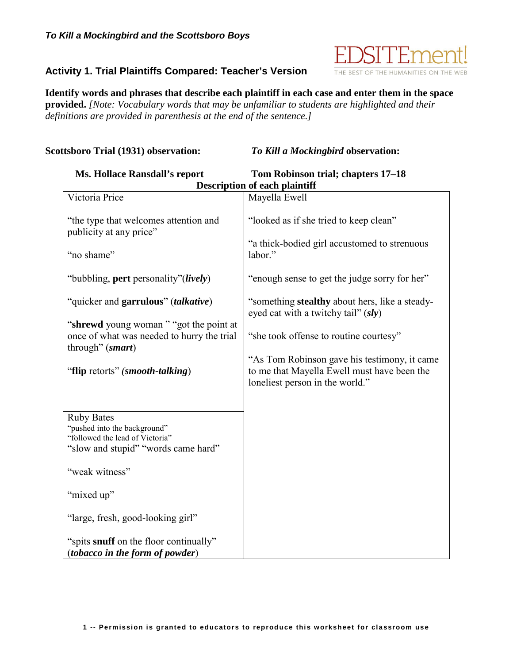

## **Activity 1. Trial Plaintiffs Compared: Teacher's Version**

**Identify words and phrases that describe each plaintiff in each case and enter them in the space provided.** *[Note: Vocabulary words that may be unfamiliar to students are highlighted and their definitions are provided in parenthesis at the end of the sentence.]*

## **Scottsboro Trial (1931) observation:** *To Kill a Mockingbird* **observation:**

| <b>Ms. Hollace Ransdall's report</b>                                                                                                                                                                                                                                          | Tom Robinson trial; chapters 17-18                                                                                                                                                                                                                                |  |
|-------------------------------------------------------------------------------------------------------------------------------------------------------------------------------------------------------------------------------------------------------------------------------|-------------------------------------------------------------------------------------------------------------------------------------------------------------------------------------------------------------------------------------------------------------------|--|
| <b>Description of each plaintiff</b>                                                                                                                                                                                                                                          |                                                                                                                                                                                                                                                                   |  |
| Victoria Price                                                                                                                                                                                                                                                                | Mayella Ewell                                                                                                                                                                                                                                                     |  |
| "the type that welcomes attention and<br>publicity at any price"<br>"no shame"<br>"bubbling, pert personality"( <i>lively</i> )                                                                                                                                               | "looked as if she tried to keep clean"<br>"a thick-bodied girl accustomed to strenuous<br>labor."<br>"enough sense to get the judge sorry for her"                                                                                                                |  |
| "quicker and garrulous" (talkative)<br>"shrewd young woman" "got the point at<br>once of what was needed to hurry the trial<br>through" (smart)<br>"flip retorts" (smooth-talking)                                                                                            | "something stealthy about hers, like a steady-<br>eyed cat with a twitchy tail" (sly)<br>"she took offense to routine courtesy"<br>"As Tom Robinson gave his testimony, it came<br>to me that Mayella Ewell must have been the<br>loneliest person in the world." |  |
| <b>Ruby Bates</b><br>"pushed into the background"<br>"followed the lead of Victoria"<br>"slow and stupid" "words came hard"<br>"weak witness"<br>"mixed up"<br>"large, fresh, good-looking girl"<br>"spits snuff on the floor continually"<br>(tobacco in the form of powder) |                                                                                                                                                                                                                                                                   |  |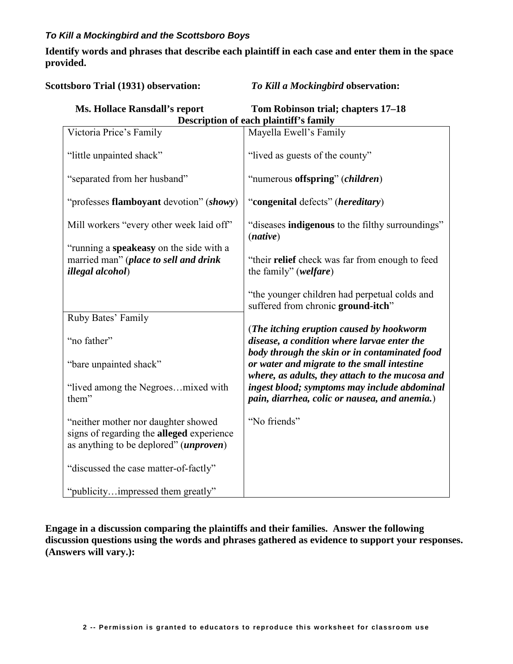## *To Kill a Mockingbird and the Scottsboro Boys*

**Identify words and phrases that describe each plaintiff in each case and enter them in the space provided.** 

**Scottsboro Trial (1931) observation:** *To Kill a Mockingbird* **observation:** 

| <b>Ms. Hollace Ransdall's report</b>   | Tom Robinson trial; chapters 17–18 |  |
|----------------------------------------|------------------------------------|--|
| Description of each plaintiff's family |                                    |  |

| Victoria Price's Family                                                                                                    | Mayella Ewell's Family                                                                                                                           |
|----------------------------------------------------------------------------------------------------------------------------|--------------------------------------------------------------------------------------------------------------------------------------------------|
| "little unpainted shack"                                                                                                   | "lived as guests of the county"                                                                                                                  |
| "separated from her husband"                                                                                               | "numerous offspring" (children)                                                                                                                  |
| "professes flamboyant devotion" (showy)                                                                                    | "congenital defects" (hereditary)                                                                                                                |
| Mill workers "every other week laid off"                                                                                   | "diseases <b>indigenous</b> to the filthy surroundings"<br>(native)                                                                              |
| "running a speakeasy on the side with a<br>married man" (place to sell and drink<br><i>illegal alcohol</i> )               | "their relief check was far from enough to feed<br>the family" (welfare)                                                                         |
|                                                                                                                            | "the younger children had perpetual colds and<br>suffered from chronic ground-itch"                                                              |
| Ruby Bates' Family                                                                                                         |                                                                                                                                                  |
| "no father"                                                                                                                | (The itching eruption caused by hookworm<br>disease, a condition where larvae enter the                                                          |
|                                                                                                                            | body through the skin or in contaminated food                                                                                                    |
| "bare unpainted shack"                                                                                                     | or water and migrate to the small intestine                                                                                                      |
| "lived among the Negroesmixed with<br>them"                                                                                | where, as adults, they attach to the mucosa and<br>ingest blood; symptoms may include abdominal<br>pain, diarrhea, colic or nausea, and anemia.) |
|                                                                                                                            |                                                                                                                                                  |
| "neither mother nor daughter showed<br>signs of regarding the alleged experience<br>as anything to be deplored" (unproven) | "No friends"                                                                                                                                     |
| "discussed the case matter-of-factly"                                                                                      |                                                                                                                                                  |
| "publicityimpressed them greatly"                                                                                          |                                                                                                                                                  |

**Engage in a discussion comparing the plaintiffs and their families. Answer the following discussion questions using the words and phrases gathered as evidence to support your responses. (Answers will vary.):**